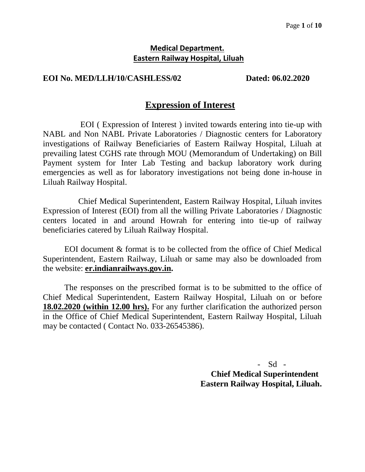# **Medical Department. Eastern Railway Hospital, Liluah**

# **EOI No. MED/LLH/10/CASHLESS/02 Dated: 06.02.2020**

# **Expression of Interest**

 EOI ( Expression of Interest ) invited towards entering into tie-up with NABL and Non NABL Private Laboratories / Diagnostic centers for Laboratory investigations of Railway Beneficiaries of Eastern Railway Hospital, Liluah at prevailing latest CGHS rate through MOU (Memorandum of Undertaking) on Bill Payment system for Inter Lab Testing and backup laboratory work during emergencies as well as for laboratory investigations not being done in-house in Liluah Railway Hospital.

 Chief Medical Superintendent, Eastern Railway Hospital, Liluah invites Expression of Interest (EOI) from all the willing Private Laboratories / Diagnostic centers located in and around Howrah for entering into tie-up of railway beneficiaries catered by Liluah Railway Hospital.

EOI document & format is to be collected from the office of Chief Medical Superintendent, Eastern Railway, Liluah or same may also be downloaded from the website: **er.indianrailways.gov.in.**

The responses on the prescribed format is to be submitted to the office of Chief Medical Superintendent, Eastern Railway Hospital, Liluah on or before **18.02.2020 (within 12.00 hrs).** For any further clarification the authorized person in the Office of Chief Medical Superintendent, Eastern Railway Hospital, Liluah may be contacted ( Contact No. 033-26545386).

> $Sd -$  **Chief Medical Superintendent Eastern Railway Hospital, Liluah.**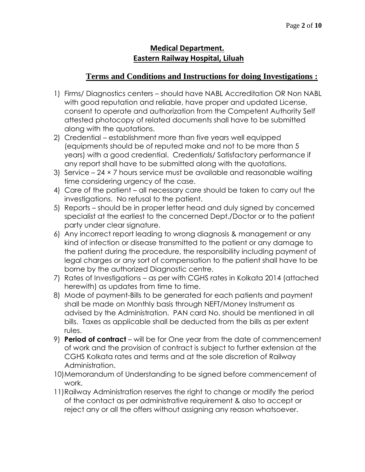# **Medical Department. Eastern Railway Hospital, Liluah**

# **Terms and Conditions and Instructions for doing Investigations :**

- 1) Firms/ Diagnostics centers should have NABL Accreditation OR Non NABL with good reputation and reliable, have proper and updated License, consent to operate and authorization from the Competent Authority Self attested photocopy of related documents shall have to be submitted along with the quotations.
- 2) Credential establishment more than five years well equipped (equipments should be of reputed make and not to be more than 5 years) with a good credential. Credentials/ Satisfactory performance if any report shall have to be submitted along with the quotations.
- 3) Service 24 × 7 hours service must be available and reasonable waiting time considering urgency of the case.
- 4) Care of the patient all necessary care should be taken to carry out the investigations. No refusal to the patient.
- 5) Reports should be in proper letter head and duly signed by concerned specialist at the earliest to the concerned Dept./Doctor or to the patient party under clear signature.
- 6) Any incorrect report leading to wrong diagnosis & management or any kind of infection or disease transmitted to the patient or any damage to the patient during the procedure, the responsibility including payment of legal charges or any sort of compensation to the patient shall have to be borne by the authorized Diagnostic centre.
- 7) Rates of Investigations as per with CGHS rates in Kolkata 2014 (attached herewith) as updates from time to time.
- 8) Mode of payment-Bills to be generated for each patients and payment shall be made on Monthly basis through NEFT/Money Instrument as advised by the Administration. PAN card No. should be mentioned in all bills. Taxes as applicable shall be deducted from the bills as per extent rules.
- 9) **Period of contract** will be for One year from the date of commencement of work and the provision of contract is subject to further extension at the CGHS Kolkata rates and terms and at the sole discretion of Railway Administration.
- 10)Memorandum of Understanding to be signed before commencement of work.
- 11)Railway Administration reserves the right to change or modify the period of the contact as per administrative requirement & also to accept or reject any or all the offers without assigning any reason whatsoever.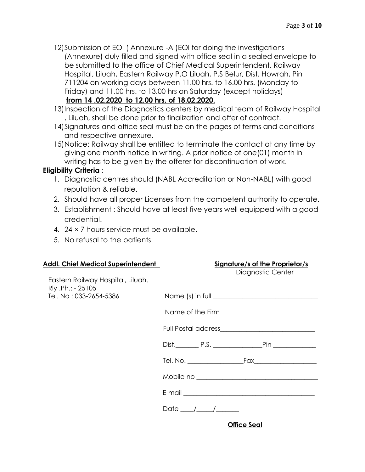- 12)Submission of EOI ( Annexure -A )EOI for doing the investigations (Annexure) duly filled and signed with office seal in a sealed envelope to be submitted to the office of Chief Medical Superintendent, Railway Hospital, Liluah, Eastern Railway P.O Liluah, P.S Belur, Dist. Howrah, Pin 711204 on working days between 11.00 hrs. to 16.00 hrs. (Monday to Friday) and 11.00 hrs. to 13.00 hrs on Saturday (except holidays) **from 14 .02.2020 to 12.00 hrs. of 18.02.2020.**
- 13)Inspection of the Diagnostics centers by medical team of Railway Hospital , Liluah, shall be done prior to finalization and offer of contract.
- 14)Signatures and office seal must be on the pages of terms and conditions and respective annexure.
- 15)Notice: Railway shall be entitled to terminate the contact at any time by giving one month notice in writing. A prior notice of one(01) month in writing has to be given by the offerer for discontinuation of work.

# **Eligibility Criteria** :

- 1. Diagnostic centres should (NABL Accreditation or Non-NABL) with good reputation & reliable.
- 2. Should have all proper Licenses from the competent authority to operate.
- 3. Establishment : Should have at least five years well equipped with a good credential.
- 4. 24 × 7 hours service must be available.
- 5. No refusal to the patients.

| <b>Addl. Chief Medical Superintendent</b>              | <b>Signature/s of the Proprietor/s</b><br>Diagnostic Center |
|--------------------------------------------------------|-------------------------------------------------------------|
| Eastern Railway Hospital, Liluah.<br>Rly .Ph.: - 25105 |                                                             |
| Tel. No: 033-2654-5386                                 |                                                             |
|                                                        |                                                             |
|                                                        |                                                             |
|                                                        | Dist. P.S. P.S. Pin                                         |
|                                                        |                                                             |
|                                                        |                                                             |
|                                                        |                                                             |
|                                                        | Date $\frac{\frac{1}{2}}{\frac{1}{2}}$                      |

 **Office Seal**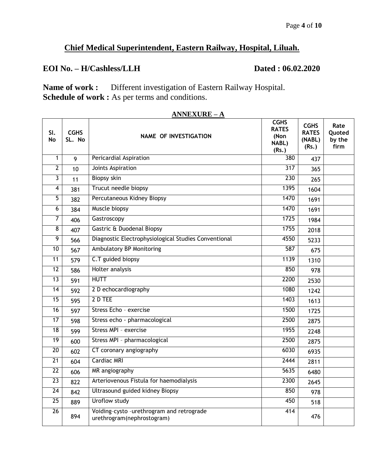# **Chief Medical Superintendent, Eastern Railway, Hospital, Liluah.**

# **EOI No. – H/Cashless/LLH Dated : 06.02.2020**

**Name of work :** Different investigation of Eastern Railway Hospital. **Schedule of work :** As per terms and conditions.

| SI.<br><b>No</b> | <b>CGHS</b><br>SL. No | <b>NAME OF INVESTIGATION</b>                                            | <b>CGHS</b><br><b>RATES</b><br>(Non<br>NABL)<br>(Rs.) | <b>CGHS</b><br><b>RATES</b><br>(NABL)<br>(Rs.) | Rate<br>Ouoted<br>by the<br>firm |
|------------------|-----------------------|-------------------------------------------------------------------------|-------------------------------------------------------|------------------------------------------------|----------------------------------|
| 1                | 9                     | <b>Pericardial Aspiration</b>                                           | 380                                                   | 437                                            |                                  |
| $\overline{2}$   | 10                    | Joints Aspiration                                                       | $\overline{317}$                                      | 365                                            |                                  |
| 3                | 11                    | <b>Biopsy skin</b>                                                      | 230                                                   | 265                                            |                                  |
| 4                | 381                   | Trucut needle biopsy                                                    | 1395                                                  | 1604                                           |                                  |
| 5                | 382                   | Percutaneous Kidney Biopsy                                              | 1470                                                  | 1691                                           |                                  |
| $\overline{6}$   | 384                   | Muscle biopsy                                                           | 1470                                                  | 1691                                           |                                  |
| 7                | 406                   | Gastroscopy                                                             | 1725                                                  | 1984                                           |                                  |
| $\overline{8}$   | 407                   | Gastric & Duodenal Biopsy                                               | 1755                                                  | 2018                                           |                                  |
| $\overline{9}$   | 566                   | Diagnostic Electrophysiological Studies Conventional                    | 4550                                                  | 5233                                           |                                  |
| $\overline{10}$  | 567                   | <b>Ambulatory BP Monitoring</b>                                         | 587                                                   | 675                                            |                                  |
| 11               | 579                   | C.T guided biopsy                                                       | 1139                                                  | 1310                                           |                                  |
| $\overline{12}$  | 586                   | <b>Holter analysis</b>                                                  | 850                                                   | 978                                            |                                  |
| 13               | 591                   | <b>HUTT</b>                                                             | 2200                                                  | 2530                                           |                                  |
| 14               | 592                   | 2 D echocardiography                                                    | 1080                                                  | 1242                                           |                                  |
| 15               | 595                   | 2 D TEE                                                                 | 1403                                                  | 1613                                           |                                  |
| 16               | 597                   | Stress Echo - exercise                                                  | 1500                                                  | 1725                                           |                                  |
| 17               | 598                   | Stress echo - pharmacological                                           | 2500                                                  | 2875                                           |                                  |
| $\overline{18}$  | 599                   | Stress MPI - exercise                                                   | 1955                                                  | 2248                                           |                                  |
| 19               | 600                   | Stress MPI - pharmacological                                            | 2500                                                  | 2875                                           |                                  |
| $\overline{20}$  | 602                   | CT coronary angiography                                                 | 6030                                                  | 6935                                           |                                  |
| $\overline{21}$  | 604                   | <b>Cardiac MRI</b>                                                      | 2444                                                  | 2811                                           |                                  |
| 22               | 606                   | MR angiography                                                          | 5635                                                  | 6480                                           |                                  |
| $\overline{23}$  | 822                   | Arteriovenous Fistula for haemodialysis                                 | 2300                                                  | 2645                                           |                                  |
| $\overline{24}$  | 842                   | Ultrasound guided kidney Biopsy                                         | 850                                                   | 978                                            |                                  |
| $\overline{25}$  | 889                   | Uroflow study                                                           | 450                                                   | 518                                            |                                  |
| $\overline{26}$  | 894                   | Voiding-cysto -urethrogram and retrograde<br>urethrogram(nephrostogram) | 414                                                   | 476                                            |                                  |

### **ANNEXURE – A**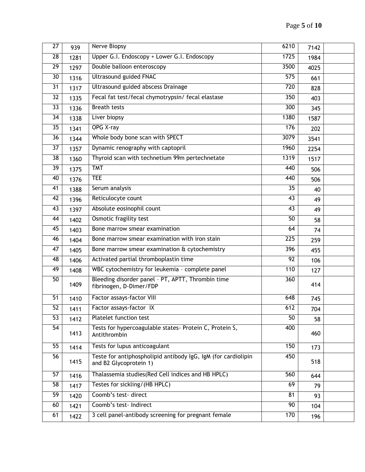| $\overline{27}$ | 939  | Nerve Biopsy                                                                            | 6210             | 7142 |  |
|-----------------|------|-----------------------------------------------------------------------------------------|------------------|------|--|
| $\overline{28}$ | 1281 | Upper G.I. Endoscopy + Lower G.I. Endoscopy                                             | 1725             | 1984 |  |
| $\overline{29}$ | 1297 | Double balloon enteroscopy                                                              | 3500             | 4025 |  |
| $\overline{30}$ | 1316 | <b>Ultrasound guided FNAC</b>                                                           | $\overline{575}$ | 661  |  |
| $\overline{31}$ | 1317 | Ultrasound guided abscess Drainage                                                      | 720              | 828  |  |
| 32              | 1335 | Fecal fat test/fecal chymotrypsin/ fecal elastase                                       | 350              | 403  |  |
| $\overline{33}$ | 1336 | <b>Breath tests</b>                                                                     | 300              | 345  |  |
| $\overline{34}$ | 1338 | Liver biopsy                                                                            | 1380             | 1587 |  |
| 35              | 1341 | <b>OPG X-ray</b>                                                                        | $\overline{176}$ | 202  |  |
| $\overline{36}$ | 1344 | Whole body bone scan with SPECT                                                         | 3079             | 3541 |  |
| $\overline{37}$ | 1357 | Dynamic renography with captopril                                                       | 1960             | 2254 |  |
| 38              | 1360 | Thyroid scan with technetium 99m pertechnetate                                          | 1319             | 1517 |  |
| $\overline{39}$ | 1375 | <b>TMT</b>                                                                              | 440              | 506  |  |
| 40              | 1376 | <b>TEE</b>                                                                              | 440              | 506  |  |
| 41              | 1388 | Serum analysis                                                                          | 35               | 40   |  |
| $\overline{42}$ | 1396 | Reticulocyte count                                                                      | 43               | 49   |  |
| 43              | 1397 | Absolute eosinophil count                                                               | $\overline{43}$  | 49   |  |
| 44              | 1402 | Osmotic fragility test                                                                  | 50               | 58   |  |
| $\overline{45}$ | 1403 | Bone marrow smear examination                                                           | 64               | 74   |  |
| 46              | 1404 | Bone marrow smear examination with iron stain                                           | $\overline{225}$ | 259  |  |
| 47              | 1405 | Bone marrow smear examination & cytochemistry                                           | 396              | 455  |  |
| 48              | 1406 | Activated partial thromboplastin time                                                   | $\overline{92}$  | 106  |  |
| 49              | 1408 | WBC cytochemistry for leukemia - complete panel                                         | 110              | 127  |  |
| 50              | 1409 | Bleeding disorder panel - PT, APTT, Thrombin time<br>fibrinogen, D-Dimer/FDP            | 360              | 414  |  |
| 51              | 1410 | Factor assays-factor VIII                                                               | 648              | 745  |  |
| $\overline{52}$ | 1411 | Factor assays-factor IX                                                                 | 612              | 704  |  |
| $\overline{53}$ | 1412 | Platelet function test                                                                  | 50               | 58   |  |
| $\overline{54}$ | 1413 | Tests for hypercoagulable states- Protein C, Protein S,<br>Antithrombin                 | 400              | 460  |  |
| $\overline{55}$ | 1414 | Tests for lupus anticoagulant                                                           | 150              | 173  |  |
| 56              | 1415 | Teste for antiphospholipid antibody IgG, IgM (for cardiolipin<br>and B2 Glycoprotein 1) | 450              | 518  |  |
| 57              | 1416 | Thalassemia studies (Red Cell indices and HB HPLC)                                      | 560              | 644  |  |
| $\overline{58}$ | 1417 | Testes for sickling/(HB HPLC)                                                           | 69               | 79   |  |
| $\overline{59}$ | 1420 | Coomb's test-direct                                                                     | $\overline{81}$  | 93   |  |
| 60              | 1421 | Coomb's test- Indirect                                                                  | $\overline{90}$  | 104  |  |
| 61              | 1422 | 3 cell panel-antibody screening for pregnant female                                     | 170              | 196  |  |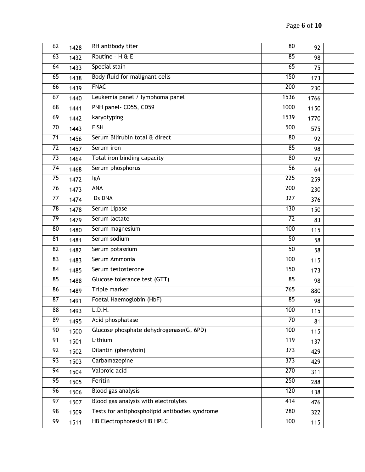| 62              | 1428 | RH antibody titer                              | 80               | 92   |  |
|-----------------|------|------------------------------------------------|------------------|------|--|
| 63              | 1432 | Routine - H & E                                | 85               | 98   |  |
| 64              | 1433 | Special stain                                  | 65               | 75   |  |
| 65              | 1438 | Body fluid for malignant cells                 | 150              | 173  |  |
| 66              | 1439 | <b>FNAC</b>                                    | 200              | 230  |  |
| 67              | 1440 | Leukemia panel / lymphoma panel                | 1536             | 1766 |  |
| 68              | 1441 | PNH panel- CD55, CD59                          | 1000             | 1150 |  |
| 69              | 1442 | karyotyping                                    | 1539             | 1770 |  |
| 70              | 1443 | <b>FISH</b>                                    | 500              | 575  |  |
| $\overline{71}$ | 1456 | Serum Bilirubin total & direct                 | $\overline{80}$  | 92   |  |
| $\overline{72}$ | 1457 | Serum iron                                     | 85               | 98   |  |
| 73              | 1464 | Total iron binding capacity                    | 80               | 92   |  |
| $\overline{74}$ | 1468 | Serum phosphorus                               | $\overline{56}$  | 64   |  |
| $\overline{75}$ | 1472 | IgA                                            | 225              | 259  |  |
| 76              | 1473 | ANA                                            | 200              | 230  |  |
| 77              | 1474 | <b>Ds DNA</b>                                  | 327              | 376  |  |
| $\overline{78}$ | 1478 | Serum Lipase                                   | 130              | 150  |  |
| 79              | 1479 | Serum lactate                                  | 72               | 83   |  |
| $\overline{80}$ | 1480 | Serum magnesium                                | 100              | 115  |  |
| 81              | 1481 | Serum sodium                                   | $\overline{50}$  | 58   |  |
| 82              | 1482 | Serum potassium                                | 50               | 58   |  |
| 83              | 1483 | Serum Ammonia                                  | 100              | 115  |  |
| 84              | 1485 | Serum testosterone                             | 150              | 173  |  |
| 85              | 1488 | Glucose tolerance test (GTT)                   | 85               | 98   |  |
| 86              | 1489 | <b>Triple marker</b>                           | 765              | 880  |  |
| $\overline{87}$ | 1491 | Foetal Haemoglobin (HbF)                       | 85               | 98   |  |
| 88              | 1493 | L.D.H.                                         | 100              | 115  |  |
| 89              | 1495 | Acid phosphatase                               | $\overline{70}$  | 81   |  |
| $\overline{90}$ | 1500 | Glucose phosphate dehydrogenase(G, 6PD)        | 100              | 115  |  |
| 91              | 1501 | Lithium                                        | 119              | 137  |  |
| $\overline{92}$ | 1502 | Dilantin (phenytoin)                           | $\overline{373}$ | 429  |  |
| 93              | 1503 | Carbamazepine                                  | $\overline{373}$ | 429  |  |
| 94              | 1504 | Valproic acid                                  | 270              | 311  |  |
| 95              | 1505 | Feritin                                        | 250              | 288  |  |
| 96              | 1506 | Blood gas analysis                             | 120              | 138  |  |
| 97              | 1507 | Blood gas analysis with electrolytes           | 414              | 476  |  |
| 98              | 1509 | Tests for antiphospholipid antibodies syndrome | 280              | 322  |  |
| 99              | 1511 | HB Electrophoresis/HB HPLC                     | 100              | 115  |  |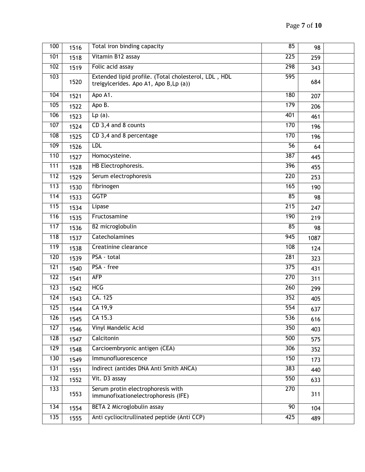| 100              | 1516 | Total iron binding capacity                                                                    | 85               | 98   |  |
|------------------|------|------------------------------------------------------------------------------------------------|------------------|------|--|
| 101              | 1518 | Vitamin B12 assay                                                                              | 225              | 259  |  |
| 102              | 1519 | Folic acid assay                                                                               | 298              | 343  |  |
| 103              | 1520 | Extended lipid profile. (Total cholesterol, LDL, HDL<br>treigylcerides. Apo A1, Apo B, Lp (a)) | 595              | 684  |  |
| 104              | 1521 | Apo A1.                                                                                        | 180              | 207  |  |
| 105              | 1522 | Apo B.                                                                                         | 179              | 206  |  |
| 106              | 1523 | $Lp(a)$ .                                                                                      | 401              | 461  |  |
| 107              | 1524 | CD 3,4 and 8 counts                                                                            | 170              | 196  |  |
| 108              | 1525 | CD 3,4 and 8 percentage                                                                        | 170              | 196  |  |
| 109              | 1526 | <b>LDL</b>                                                                                     | $\overline{56}$  | 64   |  |
| 110              | 1527 | Homocysteine.                                                                                  | 387              | 445  |  |
| 111              | 1528 | HB Electrophoresis.                                                                            | 396              | 455  |  |
| 112              | 1529 | Serum electrophoresis                                                                          | 220              | 253  |  |
| 113              | 1530 | fibrinogen                                                                                     | 165              | 190  |  |
| 114              | 1533 | <b>GGTP</b>                                                                                    | 85               | 98   |  |
| 115              | 1534 | Lipase                                                                                         | 215              | 247  |  |
| 116              | 1535 | Fructosamine                                                                                   | 190              | 219  |  |
| 117              | 1536 | <b>B2</b> microglobulin                                                                        | 85               | 98   |  |
| 118              | 1537 | <b>Catecholamines</b>                                                                          | $\overline{945}$ | 1087 |  |
| 119              | 1538 | Creatinine clearance                                                                           | 108              | 124  |  |
| 120              | 1539 | PSA - total                                                                                    | 281              | 323  |  |
| 121              | 1540 | PSA - free                                                                                     | $\overline{375}$ | 431  |  |
| 122              | 1541 | <b>AFP</b>                                                                                     | $\overline{270}$ | 311  |  |
| 123              | 1542 | <b>HCG</b>                                                                                     | $\overline{260}$ | 299  |  |
| 124              | 1543 | CA. 125                                                                                        | 352              | 405  |  |
| $\overline{125}$ | 1544 | $\overline{CA\ 19,9}$                                                                          | 554              | 637  |  |
| 126              | 1545 | CA 15.3                                                                                        | 536              | 616  |  |
| 127              | 1546 | Vinyl Mandelic Acid                                                                            | 350              | 403  |  |
| 128              | 1547 | Calcitonin                                                                                     | 500              | 575  |  |
| 129              | 1548 | Carcioembryonic antigen (CEA)                                                                  | 306              | 352  |  |
| 130              | 1549 | Immunofluorescence                                                                             | 150              | 173  |  |
| 131              | 1551 | Indirect (antides DNA Anti Smith ANCA)                                                         | 383              | 440  |  |
| 132              | 1552 | Vit. D3 assay                                                                                  | 550              | 633  |  |
| 133              | 1553 | Serum protin electrophoresis with<br>immunofixationelectrophoresis (IFE)                       | 270              | 311  |  |
| $\overline{134}$ | 1554 | BETA 2 Microglobulin assay                                                                     | 90               | 104  |  |
| 135              | 1555 | Anti cycliocitrullinated peptide (Anti CCP)                                                    | 425              | 489  |  |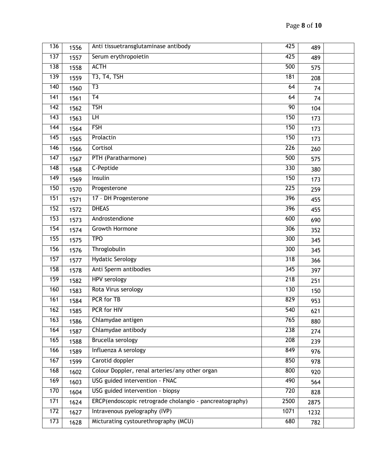| 136              | 1556 | Anti tissuetransglutaminase antibody                    | 425              | 489  |  |
|------------------|------|---------------------------------------------------------|------------------|------|--|
| 137              | 1557 | Serum erythropoietin                                    | 425              | 489  |  |
| 138              | 1558 | <b>ACTH</b>                                             | 500              | 575  |  |
| 139              | 1559 | <b>T3, T4, TSH</b>                                      | 181              | 208  |  |
| 140              | 1560 | T3                                                      | 64               | 74   |  |
| 141              | 1561 | T <sub>4</sub>                                          | 64               | 74   |  |
| $\overline{142}$ | 1562 | <b>TSH</b>                                              | 90               | 104  |  |
| $\overline{143}$ | 1563 | H                                                       | 150              | 173  |  |
| 144              | 1564 | <b>FSH</b>                                              | 150              | 173  |  |
| 145              | 1565 | Prolactin                                               | 150              | 173  |  |
| 146              | 1566 | Cortisol                                                | 226              | 260  |  |
| 147              | 1567 | PTH (Paratharmone)                                      | 500              | 575  |  |
| 148              | 1568 | C-Peptide                                               | 330              | 380  |  |
| $\overline{149}$ | 1569 | Insulin                                                 | 150              | 173  |  |
| 150              | 1570 | Progesterone                                            | $\overline{225}$ | 259  |  |
| 151              | 1571 | 17 - DH Progesterone                                    | 396              | 455  |  |
| 152              | 1572 | <b>DHEAS</b>                                            | 396              | 455  |  |
| 153              | 1573 | Androstendione                                          | 600              | 690  |  |
| 154              | 1574 | <b>Growth Hormone</b>                                   | 306              | 352  |  |
| 155              | 1575 | <b>TPO</b>                                              | 300              | 345  |  |
| 156              | 1576 | Throglobulin                                            | 300              | 345  |  |
| 157              | 1577 | <b>Hydatic Serology</b>                                 | 318              | 366  |  |
| 158              | 1578 | Anti Sperm antibodies                                   | $\overline{345}$ | 397  |  |
| 159              | 1582 | <b>HPV</b> serology                                     | $\overline{218}$ | 251  |  |
| 160              | 1583 | Rota Virus serology                                     | 130              | 150  |  |
| 161              | 1584 | PCR for TB                                              | 829              | 953  |  |
| 162              | 1585 | PCR for HIV                                             | 540              | 621  |  |
| 163              | 1586 | Chlamydae antigen                                       | 765              | 880  |  |
| 164              | 1587 | Chlamydae antibody                                      | 238              | 274  |  |
| 165              | 1588 | Brucella serology                                       | 208              | 239  |  |
| 166              | 1589 | Influenza A serology                                    | 849              | 976  |  |
| 167              | 1599 | Carotid doppler                                         | 850              | 978  |  |
| 168              | 1602 | Colour Doppler, renal arteries/any other organ          | 800              | 920  |  |
| 169              | 1603 | USG guided intervention - FNAC                          | 490              | 564  |  |
| 170              | 1604 | USG guided intervention - biopsy                        | 720              | 828  |  |
| 171              | 1624 | ERCP(endoscopic retrograde cholangio - pancreatography) | 2500             | 2875 |  |
| $\overline{172}$ | 1627 | Intravenous pyelography (IVP)                           | 1071             | 1232 |  |
| 173              | 1628 | Micturating cystourethrography (MCU)                    | 680              | 782  |  |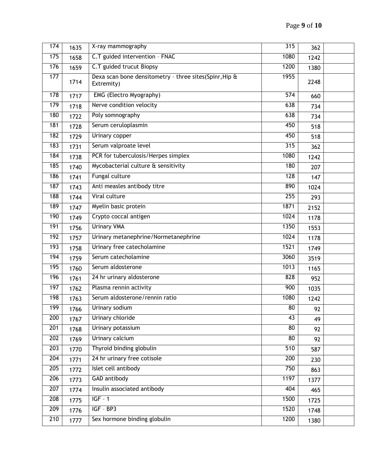| 174 | 1635 | X-ray mammography                                                    | 315              | 362  |  |
|-----|------|----------------------------------------------------------------------|------------------|------|--|
| 175 | 1658 | C.T guided intervention - FNAC                                       | 1080             | 1242 |  |
| 176 | 1659 | C.T guided trucut Biopsy                                             | 1200             | 1380 |  |
| 177 | 1714 | Dexa scan bone densitometry - three sites(Spinr, Hip &<br>Extremity) | 1955             | 2248 |  |
| 178 | 1717 | EMG (Electro Myography)                                              | $\overline{574}$ | 660  |  |
| 179 | 1718 | Nerve condition velocity                                             | 638              | 734  |  |
| 180 | 1722 | Poly somnography                                                     | 638              | 734  |  |
| 181 | 1728 | Serum ceruloplasmin                                                  | 450              | 518  |  |
| 182 | 1729 | <b>Urinary copper</b>                                                | 450              | 518  |  |
| 183 | 1731 | Serum valproate level                                                | 315              | 362  |  |
| 184 | 1738 | PCR for tuberculosis/Herpes simplex                                  | 1080             | 1242 |  |
| 185 | 1740 | Mycobacterial culture & sensitivity                                  | 180              | 207  |  |
| 186 | 1741 | Fungal culture                                                       | 128              | 147  |  |
| 187 | 1743 | Anti measles antibody titre                                          | 890              | 1024 |  |
| 188 | 1744 | Viral culture                                                        | 255              | 293  |  |
| 189 | 1747 | Myelin basic protein                                                 | 1871             | 2152 |  |
| 190 | 1749 | Crypto coccal antigen                                                | 1024             | 1178 |  |
| 191 | 1756 | <b>Urinary VMA</b>                                                   | 1350             | 1553 |  |
| 192 | 1757 | Urinary metanephrine/Normetanephrine                                 | 1024             | 1178 |  |
| 193 | 1758 | Urinary free catecholamine                                           | 1521             | 1749 |  |
| 194 | 1759 | Serum catecholamine                                                  | 3060             | 3519 |  |
| 195 | 1760 | Serum aldosterone                                                    | 1013             | 1165 |  |
| 196 | 1761 | 24 hr urinary aldosterone                                            | 828              | 952  |  |
| 197 | 1762 | Plasma rennin activity                                               | 900              | 1035 |  |
| 198 | 1763 | Serum aldosterone/rennin ratio                                       | 1080             | 1242 |  |
| 199 | 1766 | Urinary sodium                                                       | 80               | 92   |  |
| 200 | 1767 | Urinary chloride                                                     | 43               | 49   |  |
| 201 | 1768 | Urinary potassium                                                    | $\overline{80}$  | 92   |  |
| 202 | 1769 | Urinary calcium                                                      | $\overline{80}$  | 92   |  |
| 203 | 1770 | Thyroid binding globulin                                             | 510              | 587  |  |
| 204 | 1771 | 24 hr urinary free cotisole                                          | 200              | 230  |  |
| 205 | 1772 | Islet cell antibody                                                  | 750              | 863  |  |
| 206 | 1773 | <b>GAD</b> antibody                                                  | 1197             | 1377 |  |
| 207 | 1774 | Insulin associated antibody                                          | 404              | 465  |  |
| 208 | 1775 | $IGF - 1$                                                            | 1500             | 1725 |  |
| 209 | 1776 | $IGF - BP3$                                                          | 1520             | 1748 |  |
| 210 | 1777 | Sex hormone binding globulin                                         | 1200             | 1380 |  |